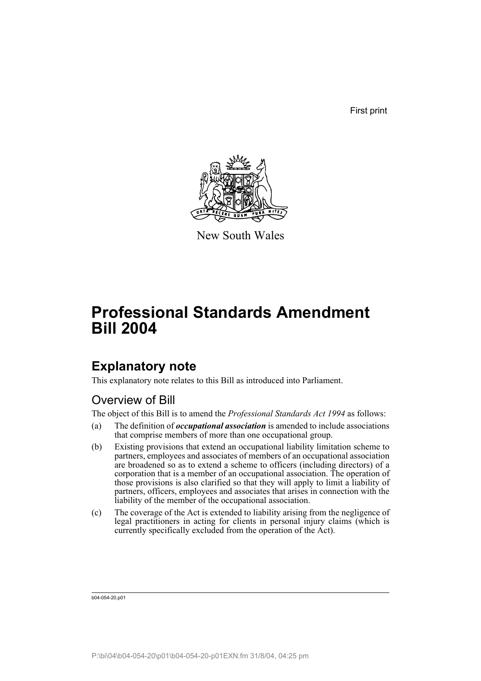First print



New South Wales

# **Professional Standards Amendment Bill 2004**

# **Explanatory note**

This explanatory note relates to this Bill as introduced into Parliament.

## Overview of Bill

The object of this Bill is to amend the *Professional Standards Act 1994* as follows:

- (a) The definition of *occupational association* is amended to include associations that comprise members of more than one occupational group.
- (b) Existing provisions that extend an occupational liability limitation scheme to partners, employees and associates of members of an occupational association are broadened so as to extend a scheme to officers (including directors) of a corporation that is a member of an occupational association. The operation of those provisions is also clarified so that they will apply to limit a liability of partners, officers, employees and associates that arises in connection with the liability of the member of the occupational association.
- (c) The coverage of the Act is extended to liability arising from the negligence of legal practitioners in acting for clients in personal injury claims (which is currently specifically excluded from the operation of the Act).

b04-054-20.p01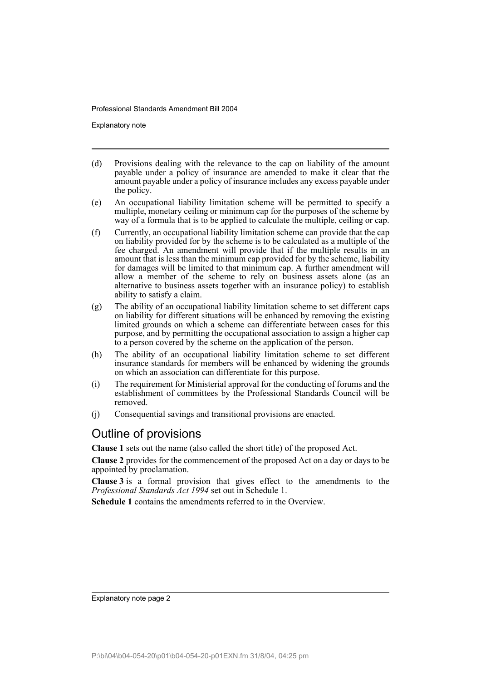Explanatory note

- (d) Provisions dealing with the relevance to the cap on liability of the amount payable under a policy of insurance are amended to make it clear that the amount payable under a policy of insurance includes any excess payable under the policy.
- (e) An occupational liability limitation scheme will be permitted to specify a multiple, monetary ceiling or minimum cap for the purposes of the scheme by way of a formula that is to be applied to calculate the multiple, ceiling or cap.
- (f) Currently, an occupational liability limitation scheme can provide that the cap on liability provided for by the scheme is to be calculated as a multiple of the fee charged. An amendment will provide that if the multiple results in an amount that is less than the minimum cap provided for by the scheme, liability for damages will be limited to that minimum cap. A further amendment will allow a member of the scheme to rely on business assets alone (as an alternative to business assets together with an insurance policy) to establish ability to satisfy a claim.
- (g) The ability of an occupational liability limitation scheme to set different caps on liability for different situations will be enhanced by removing the existing limited grounds on which a scheme can differentiate between cases for this purpose, and by permitting the occupational association to assign a higher cap to a person covered by the scheme on the application of the person.
- (h) The ability of an occupational liability limitation scheme to set different insurance standards for members will be enhanced by widening the grounds on which an association can differentiate for this purpose.
- (i) The requirement for Ministerial approval for the conducting of forums and the establishment of committees by the Professional Standards Council will be removed.
- (j) Consequential savings and transitional provisions are enacted.

## Outline of provisions

**Clause 1** sets out the name (also called the short title) of the proposed Act.

**Clause 2** provides for the commencement of the proposed Act on a day or days to be appointed by proclamation.

**Clause 3** is a formal provision that gives effect to the amendments to the *Professional Standards Act 1994* set out in Schedule 1.

**Schedule 1** contains the amendments referred to in the Overview.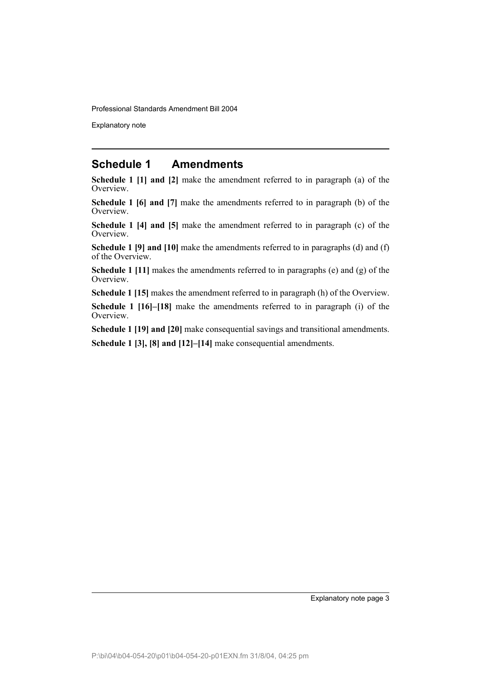Explanatory note

## **Schedule 1 Amendments**

**Schedule 1 [1] and [2]** make the amendment referred to in paragraph (a) of the Overview.

**Schedule 1 [6] and [7]** make the amendments referred to in paragraph (b) of the Overview.

**Schedule 1 [4] and [5]** make the amendment referred to in paragraph (c) of the Overview.

**Schedule 1 [9] and [10]** make the amendments referred to in paragraphs (d) and (f) of the Overview.

**Schedule 1 [11]** makes the amendments referred to in paragraphs (e) and (g) of the Overview.

**Schedule 1 [15]** makes the amendment referred to in paragraph (h) of the Overview.

**Schedule 1 [16]–[18]** make the amendments referred to in paragraph (i) of the Overview.

**Schedule 1 [19] and [20]** make consequential savings and transitional amendments. **Schedule 1 [3], [8] and [12]–[14]** make consequential amendments.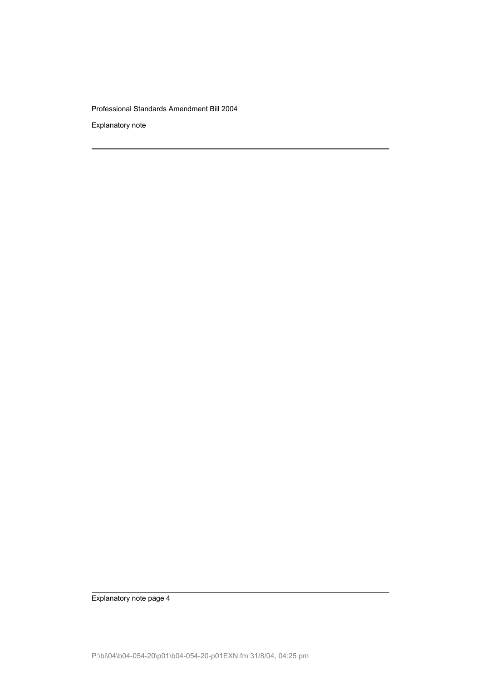Explanatory note

Explanatory note page 4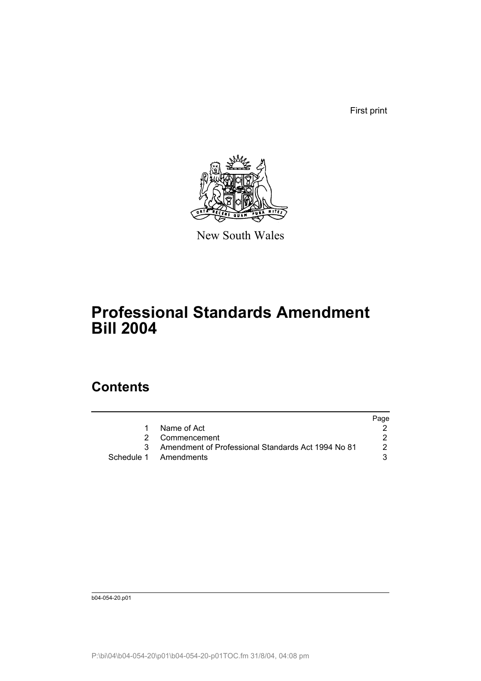First print



New South Wales

# **Professional Standards Amendment Bill 2004**

# **Contents**

|                                                      | Page |
|------------------------------------------------------|------|
| Name of Act                                          |      |
| 2 Commencement                                       |      |
| 3 Amendment of Professional Standards Act 1994 No 81 | 2    |
| Schedule 1 Amendments                                |      |

b04-054-20.p01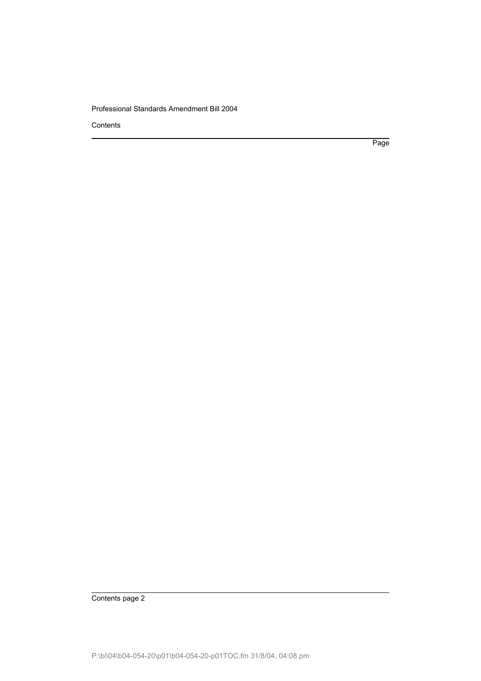**Contents** 

Page

Contents page 2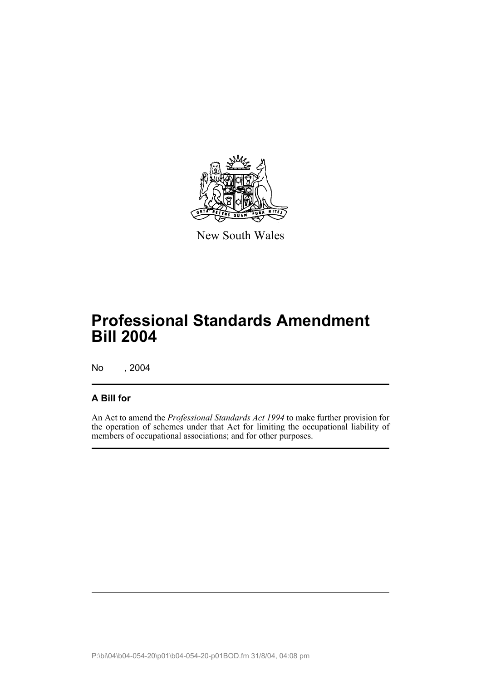

New South Wales

# **Professional Standards Amendment Bill 2004**

No , 2004

## **A Bill for**

An Act to amend the *Professional Standards Act 1994* to make further provision for the operation of schemes under that Act for limiting the occupational liability of members of occupational associations; and for other purposes.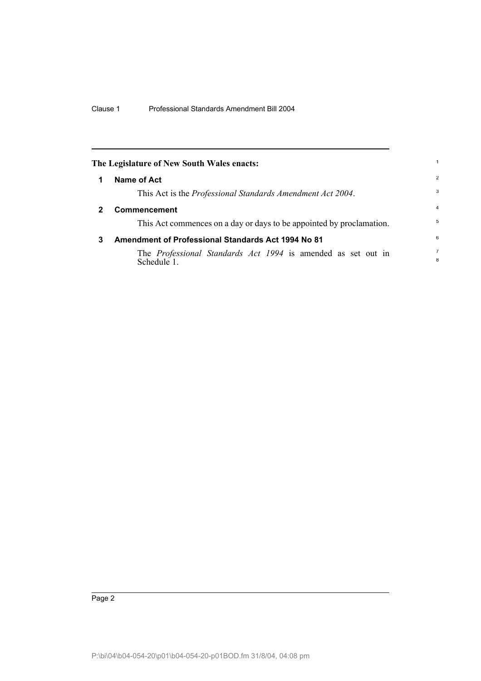<span id="page-7-2"></span><span id="page-7-1"></span><span id="page-7-0"></span>

|   | The Legislature of New South Wales enacts:                                         |                |
|---|------------------------------------------------------------------------------------|----------------|
|   | Name of Act                                                                        | $\overline{2}$ |
|   | This Act is the Professional Standards Amendment Act 2004.                         | 3              |
|   | Commencement                                                                       | $\overline{4}$ |
|   | This Act commences on a day or days to be appointed by proclamation.               | 5              |
| 3 | Amendment of Professional Standards Act 1994 No 81                                 | 6              |
|   | The <i>Professional Standards Act 1994</i> is amended as set out in<br>Schedule 1. | 7<br>8         |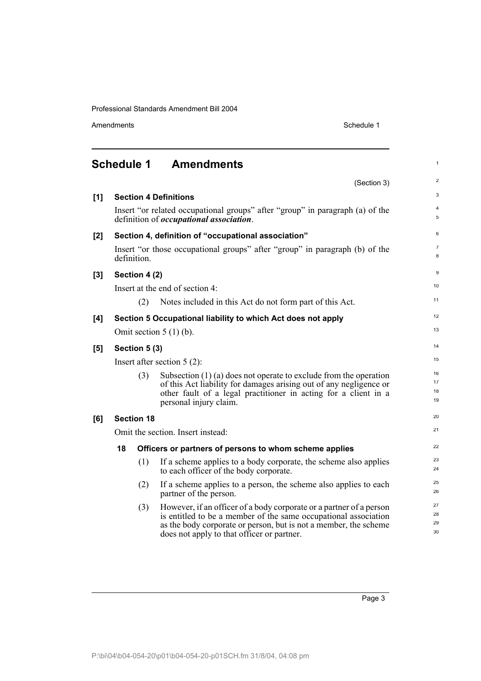Amendments Schedule 1

<span id="page-8-0"></span>

|     | <b>Schedule 1</b>                                            |                              | <b>Amendments</b>                                                                                                                                                                                                                                       | $\mathbf{1}$                     |  |  |  |
|-----|--------------------------------------------------------------|------------------------------|---------------------------------------------------------------------------------------------------------------------------------------------------------------------------------------------------------------------------------------------------------|----------------------------------|--|--|--|
|     |                                                              |                              | (Section 3)                                                                                                                                                                                                                                             | $\overline{2}$                   |  |  |  |
| [1] |                                                              | <b>Section 4 Definitions</b> |                                                                                                                                                                                                                                                         |                                  |  |  |  |
|     |                                                              |                              | Insert "or related occupational groups" after "group" in paragraph (a) of the<br>definition of <i>occupational</i> association.                                                                                                                         | $\overline{4}$<br>$\overline{5}$ |  |  |  |
| [2] | Section 4, definition of "occupational association"          |                              |                                                                                                                                                                                                                                                         |                                  |  |  |  |
|     | definition.                                                  |                              | Insert "or those occupational groups" after "group" in paragraph (b) of the                                                                                                                                                                             | $\overline{7}$<br>8              |  |  |  |
| [3] | Section 4 (2)                                                |                              |                                                                                                                                                                                                                                                         | 9                                |  |  |  |
|     | Insert at the end of section 4:                              |                              |                                                                                                                                                                                                                                                         |                                  |  |  |  |
|     |                                                              | (2)                          | Notes included in this Act do not form part of this Act.                                                                                                                                                                                                | 11                               |  |  |  |
| [4] |                                                              |                              | Section 5 Occupational liability to which Act does not apply                                                                                                                                                                                            | 12                               |  |  |  |
|     | Omit section $5(1)(b)$ .                                     |                              |                                                                                                                                                                                                                                                         |                                  |  |  |  |
| [5] | Section 5 (3)                                                |                              |                                                                                                                                                                                                                                                         |                                  |  |  |  |
|     | Insert after section $5(2)$ :                                |                              |                                                                                                                                                                                                                                                         |                                  |  |  |  |
|     |                                                              | (3)                          | Subsection $(1)$ (a) does not operate to exclude from the operation<br>of this Act liability for damages arising out of any negligence or<br>other fault of a legal practitioner in acting for a client in a<br>personal injury claim.                  | 16<br>17<br>18<br>19             |  |  |  |
| [6] | <b>Section 18</b>                                            |                              |                                                                                                                                                                                                                                                         |                                  |  |  |  |
|     | Omit the section. Insert instead:                            |                              |                                                                                                                                                                                                                                                         |                                  |  |  |  |
|     | 18<br>Officers or partners of persons to whom scheme applies |                              |                                                                                                                                                                                                                                                         |                                  |  |  |  |
|     |                                                              | (1)                          | If a scheme applies to a body corporate, the scheme also applies<br>to each officer of the body corporate.                                                                                                                                              | 23<br>24                         |  |  |  |
|     |                                                              | (2)                          | If a scheme applies to a person, the scheme also applies to each<br>partner of the person.                                                                                                                                                              | 25<br>26                         |  |  |  |
|     |                                                              | (3)                          | However, if an officer of a body corporate or a partner of a person<br>is entitled to be a member of the same occupational association<br>as the body corporate or person, but is not a member, the scheme<br>does not omner to that officer or negroes | 27<br>28<br>29<br>30             |  |  |  |

Page 3

does not apply to that officer or partner.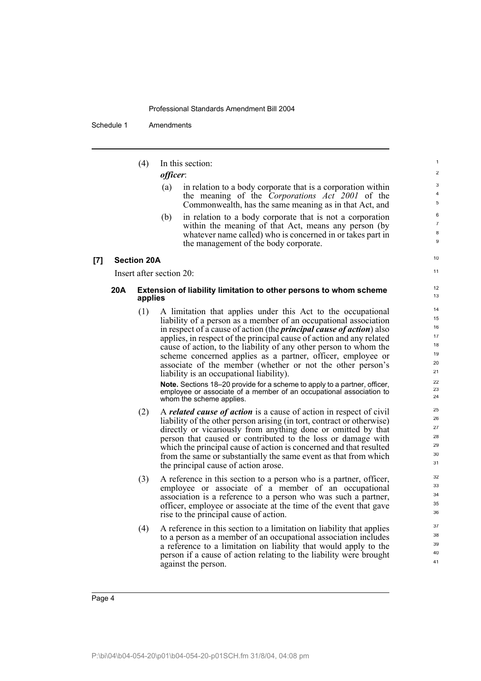Schedule 1 Amendments

(4) In this section:

### *officer*:

(a) in relation to a body corporate that is a corporation within the meaning of the *Corporations Act 2001* of the Commonwealth, has the same meaning as in that Act, and

(b) in relation to a body corporate that is not a corporation within the meaning of that Act, means any person (by whatever name called) who is concerned in or takes part in the management of the body corporate.

### **[7] Section 20A**

Insert after section 20:

### **20A Extension of liability limitation to other persons to whom scheme applies**

(1) A limitation that applies under this Act to the occupational liability of a person as a member of an occupational association in respect of a cause of action (the *principal cause of action*) also applies, in respect of the principal cause of action and any related cause of action, to the liability of any other person to whom the scheme concerned applies as a partner, officer, employee or associate of the member (whether or not the other person's liability is an occupational liability).

**Note.** Sections 18–20 provide for a scheme to apply to a partner, officer, employee or associate of a member of an occupational association to whom the scheme applies.

- (2) A *related cause of action* is a cause of action in respect of civil liability of the other person arising (in tort, contract or otherwise) directly or vicariously from anything done or omitted by that person that caused or contributed to the loss or damage with which the principal cause of action is concerned and that resulted from the same or substantially the same event as that from which the principal cause of action arose.
- (3) A reference in this section to a person who is a partner, officer, employee or associate of a member of an occupational association is a reference to a person who was such a partner, officer, employee or associate at the time of the event that gave rise to the principal cause of action.
- (4) A reference in this section to a limitation on liability that applies to a person as a member of an occupational association includes a reference to a limitation on liability that would apply to the person if a cause of action relating to the liability were brought against the person.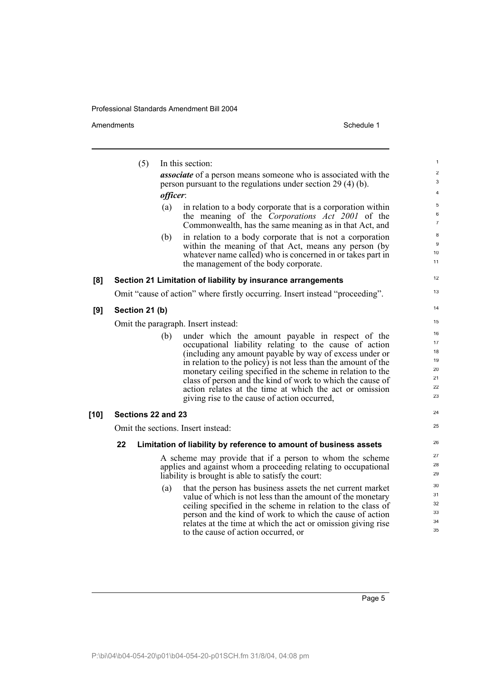Amendments Schedule 1

12 13

24 25

|                       | (5)                                                                          | In this section:<br><i>associate</i> of a person means someone who is associated with the<br>person pursuant to the regulations under section 29 (4) (b).<br>officer:                                                                                                                                                                                                                                                                                                                 |  |  |  |
|-----------------------|------------------------------------------------------------------------------|---------------------------------------------------------------------------------------------------------------------------------------------------------------------------------------------------------------------------------------------------------------------------------------------------------------------------------------------------------------------------------------------------------------------------------------------------------------------------------------|--|--|--|
|                       |                                                                              | in relation to a body corporate that is a corporation within<br>(a)<br>the meaning of the <i>Corporations Act</i> 2001 of the<br>Commonwealth, has the same meaning as in that Act, and                                                                                                                                                                                                                                                                                               |  |  |  |
|                       |                                                                              | in relation to a body corporate that is not a corporation<br>(b)<br>within the meaning of that Act, means any person (by<br>whatever name called) who is concerned in or takes part in<br>the management of the body corporate.                                                                                                                                                                                                                                                       |  |  |  |
| [8]                   | Section 21 Limitation of liability by insurance arrangements                 |                                                                                                                                                                                                                                                                                                                                                                                                                                                                                       |  |  |  |
|                       | Omit "cause of action" where firstly occurring. Insert instead "proceeding". |                                                                                                                                                                                                                                                                                                                                                                                                                                                                                       |  |  |  |
| [9]<br>Section 21 (b) |                                                                              |                                                                                                                                                                                                                                                                                                                                                                                                                                                                                       |  |  |  |
|                       | Omit the paragraph. Insert instead:                                          |                                                                                                                                                                                                                                                                                                                                                                                                                                                                                       |  |  |  |
|                       |                                                                              | under which the amount payable in respect of the<br>(b)<br>occupational liability relating to the cause of action<br>(including any amount payable by way of excess under or<br>in relation to the policy) is not less than the amount of the<br>monetary ceiling specified in the scheme in relation to the<br>class of person and the kind of work to which the cause of<br>action relates at the time at which the act or omission<br>giving rise to the cause of action occurred, |  |  |  |
| $[10]$                | Sections 22 and 23                                                           |                                                                                                                                                                                                                                                                                                                                                                                                                                                                                       |  |  |  |
|                       | Omit the sections. Insert instead:                                           |                                                                                                                                                                                                                                                                                                                                                                                                                                                                                       |  |  |  |
|                       | 22<br>Limitation of liability by reference to amount of business assets      |                                                                                                                                                                                                                                                                                                                                                                                                                                                                                       |  |  |  |
|                       |                                                                              | A scheme may provide that if a person to whom the scheme<br>applies and against whom a proceeding relating to occupational<br>liability is brought is able to satisfy the court:                                                                                                                                                                                                                                                                                                      |  |  |  |

(a) that the person has business assets the net current market value of which is not less than the amount of the monetary ceiling specified in the scheme in relation to the class of person and the kind of work to which the cause of action relates at the time at which the act or omission giving rise to the cause of action occurred, or

Page 5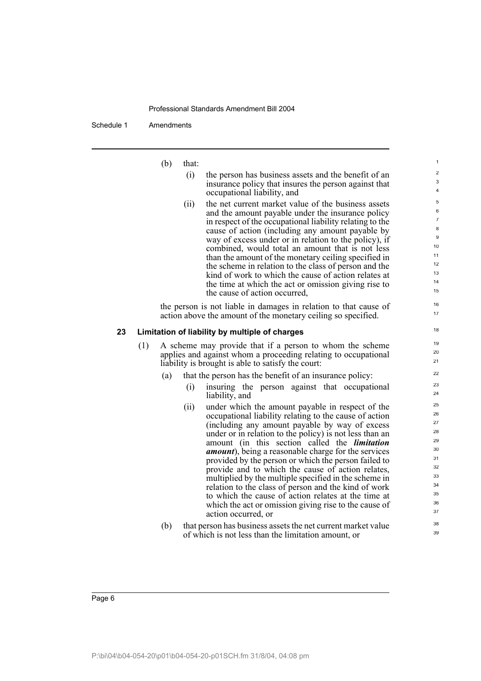Schedule 1 Amendments

(b) that:

(i) the person has business assets and the benefit of an insurance policy that insures the person against that occupational liability, and

(ii) the net current market value of the business assets and the amount payable under the insurance policy in respect of the occupational liability relating to the cause of action (including any amount payable by way of excess under or in relation to the policy), if combined, would total an amount that is not less than the amount of the monetary ceiling specified in the scheme in relation to the class of person and the kind of work to which the cause of action relates at the time at which the act or omission giving rise to the cause of action occurred,

the person is not liable in damages in relation to that cause of action above the amount of the monetary ceiling so specified.

#### **23 Limitation of liability by multiple of charges**

- (1) A scheme may provide that if a person to whom the scheme applies and against whom a proceeding relating to occupational liability is brought is able to satisfy the court:
	- (a) that the person has the benefit of an insurance policy:
		- (i) insuring the person against that occupational liability, and
		- (ii) under which the amount payable in respect of the occupational liability relating to the cause of action (including any amount payable by way of excess under or in relation to the policy) is not less than an amount (in this section called the *limitation amount*), being a reasonable charge for the services provided by the person or which the person failed to provide and to which the cause of action relates, multiplied by the multiple specified in the scheme in relation to the class of person and the kind of work to which the cause of action relates at the time at which the act or omission giving rise to the cause of action occurred, or
	- (b) that person has business assets the net current market value of which is not less than the limitation amount, or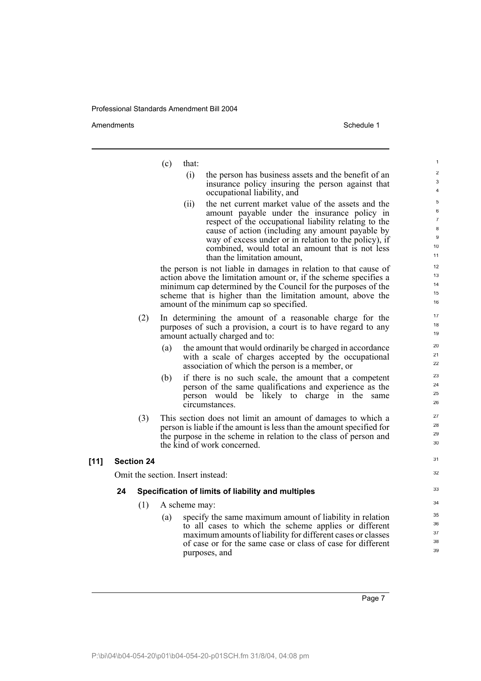Amendments Schedule 1

31 32

|                                                          |                                   |     | (c)                                                                                                                                                                                                                                                                                                             | that:                                                                                                                                                         |                                                                                                                                                                                                                                                                                                                                                             |  |  |  |
|----------------------------------------------------------|-----------------------------------|-----|-----------------------------------------------------------------------------------------------------------------------------------------------------------------------------------------------------------------------------------------------------------------------------------------------------------------|---------------------------------------------------------------------------------------------------------------------------------------------------------------|-------------------------------------------------------------------------------------------------------------------------------------------------------------------------------------------------------------------------------------------------------------------------------------------------------------------------------------------------------------|--|--|--|
|                                                          |                                   |     |                                                                                                                                                                                                                                                                                                                 | (i)                                                                                                                                                           | the person has business assets and the benefit of an<br>insurance policy insuring the person against that<br>occupational liability, and                                                                                                                                                                                                                    |  |  |  |
|                                                          |                                   |     |                                                                                                                                                                                                                                                                                                                 | (ii)                                                                                                                                                          | the net current market value of the assets and the<br>amount payable under the insurance policy in<br>respect of the occupational liability relating to the<br>cause of action (including any amount payable by<br>way of excess under or in relation to the policy), if<br>combined, would total an amount that is not less<br>than the limitation amount. |  |  |  |
|                                                          |                                   |     | the person is not liable in damages in relation to that cause of<br>action above the limitation amount or, if the scheme specifies a<br>minimum cap determined by the Council for the purposes of the<br>scheme that is higher than the limitation amount, above the<br>amount of the minimum cap so specified. |                                                                                                                                                               |                                                                                                                                                                                                                                                                                                                                                             |  |  |  |
|                                                          |                                   | (2) |                                                                                                                                                                                                                                                                                                                 | In determining the amount of a reasonable charge for the<br>purposes of such a provision, a court is to have regard to any<br>amount actually charged and to: |                                                                                                                                                                                                                                                                                                                                                             |  |  |  |
|                                                          |                                   |     | (a)                                                                                                                                                                                                                                                                                                             |                                                                                                                                                               | the amount that would ordinarily be charged in accordance<br>with a scale of charges accepted by the occupational<br>association of which the person is a member, or                                                                                                                                                                                        |  |  |  |
|                                                          |                                   |     | (b)                                                                                                                                                                                                                                                                                                             |                                                                                                                                                               | if there is no such scale, the amount that a competent<br>person of the same qualifications and experience as the<br>person would be likely to charge in the<br>same<br>circumstances.                                                                                                                                                                      |  |  |  |
|                                                          |                                   | (3) |                                                                                                                                                                                                                                                                                                                 |                                                                                                                                                               | This section does not limit an amount of damages to which a<br>person is liable if the amount is less than the amount specified for<br>the purpose in the scheme in relation to the class of person and<br>the kind of work concerned.                                                                                                                      |  |  |  |
| [11]                                                     | <b>Section 24</b>                 |     |                                                                                                                                                                                                                                                                                                                 |                                                                                                                                                               |                                                                                                                                                                                                                                                                                                                                                             |  |  |  |
|                                                          | Omit the section. Insert instead: |     |                                                                                                                                                                                                                                                                                                                 |                                                                                                                                                               |                                                                                                                                                                                                                                                                                                                                                             |  |  |  |
| 24<br>Specification of limits of liability and multiples |                                   |     |                                                                                                                                                                                                                                                                                                                 |                                                                                                                                                               |                                                                                                                                                                                                                                                                                                                                                             |  |  |  |
|                                                          |                                   | (1) | A scheme may:                                                                                                                                                                                                                                                                                                   |                                                                                                                                                               |                                                                                                                                                                                                                                                                                                                                                             |  |  |  |
|                                                          |                                   |     | (a)                                                                                                                                                                                                                                                                                                             |                                                                                                                                                               | specify the same maximum amount of liability in relation<br>to all cases to which the scheme applies or different<br>maximum amounts of liability for different cases or classes<br>of case or for the same case or class of case for different<br>purposes, and                                                                                            |  |  |  |
|                                                          |                                   |     |                                                                                                                                                                                                                                                                                                                 |                                                                                                                                                               |                                                                                                                                                                                                                                                                                                                                                             |  |  |  |

Page 7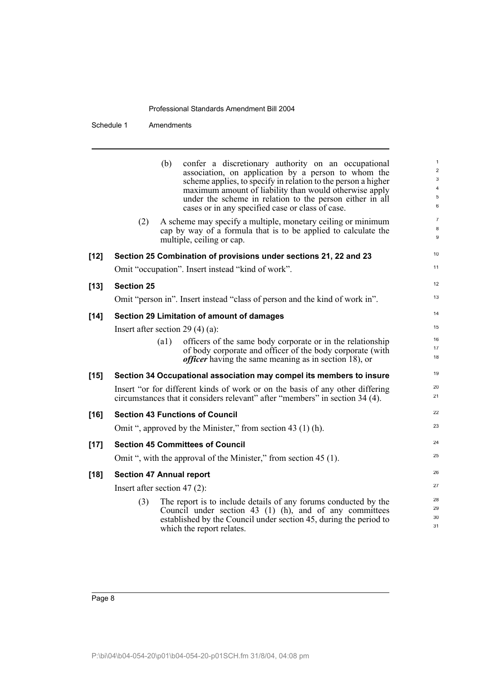Schedule 1 Amendments

|        | (b)<br>confer a discretionary authority on an occupational<br>association, on application by a person to whom the<br>scheme applies, to specify in relation to the person a higher<br>maximum amount of liability than would otherwise apply<br>under the scheme in relation to the person either in all<br>cases or in any specified case or class of case. | $\mathbf{1}$<br>$\overline{2}$<br>3<br>4<br>5<br>6 |  |  |  |  |
|--------|--------------------------------------------------------------------------------------------------------------------------------------------------------------------------------------------------------------------------------------------------------------------------------------------------------------------------------------------------------------|----------------------------------------------------|--|--|--|--|
|        | A scheme may specify a multiple, monetary ceiling or minimum<br>(2)<br>cap by way of a formula that is to be applied to calculate the<br>multiple, ceiling or cap.                                                                                                                                                                                           | $\overline{7}$<br>8<br>9                           |  |  |  |  |
| $[12]$ | Section 25 Combination of provisions under sections 21, 22 and 23                                                                                                                                                                                                                                                                                            | 10                                                 |  |  |  |  |
|        | Omit "occupation". Insert instead "kind of work".                                                                                                                                                                                                                                                                                                            | 11                                                 |  |  |  |  |
| $[13]$ | <b>Section 25</b>                                                                                                                                                                                                                                                                                                                                            | 12                                                 |  |  |  |  |
|        | Omit "person in". Insert instead "class of person and the kind of work in".                                                                                                                                                                                                                                                                                  | 13                                                 |  |  |  |  |
| $[14]$ | Section 29 Limitation of amount of damages                                                                                                                                                                                                                                                                                                                   | 14                                                 |  |  |  |  |
|        | Insert after section 29 $(4)(a)$ :                                                                                                                                                                                                                                                                                                                           |                                                    |  |  |  |  |
|        | (a1)<br>officers of the same body corporate or in the relationship                                                                                                                                                                                                                                                                                           | 16<br>17                                           |  |  |  |  |
|        | of body corporate and officer of the body corporate (with<br><i>officer</i> having the same meaning as in section 18), or                                                                                                                                                                                                                                    | 18                                                 |  |  |  |  |
| $[15]$ | Section 34 Occupational association may compel its members to insure                                                                                                                                                                                                                                                                                         | 19                                                 |  |  |  |  |
|        | Insert "or for different kinds of work or on the basis of any other differing<br>circumstances that it considers relevant" after "members" in section 34 (4).                                                                                                                                                                                                |                                                    |  |  |  |  |
| $[16]$ | <b>Section 43 Functions of Council</b>                                                                                                                                                                                                                                                                                                                       |                                                    |  |  |  |  |
|        | Omit ", approved by the Minister," from section 43 (1) (h).                                                                                                                                                                                                                                                                                                  |                                                    |  |  |  |  |
| $[17]$ | <b>Section 45 Committees of Council</b>                                                                                                                                                                                                                                                                                                                      |                                                    |  |  |  |  |
|        | Omit ", with the approval of the Minister," from section 45 (1).                                                                                                                                                                                                                                                                                             | 25                                                 |  |  |  |  |
| $[18]$ | <b>Section 47 Annual report</b>                                                                                                                                                                                                                                                                                                                              |                                                    |  |  |  |  |
|        | Insert after section 47 $(2)$ :                                                                                                                                                                                                                                                                                                                              |                                                    |  |  |  |  |
|        | The report is to include details of any forums conducted by the<br>(3)<br>Council under section 43 (1) (h), and of any committees<br>established by the Council under section 45, during the period to<br>which the report relates.                                                                                                                          | 28<br>29<br>30<br>31                               |  |  |  |  |
|        |                                                                                                                                                                                                                                                                                                                                                              |                                                    |  |  |  |  |